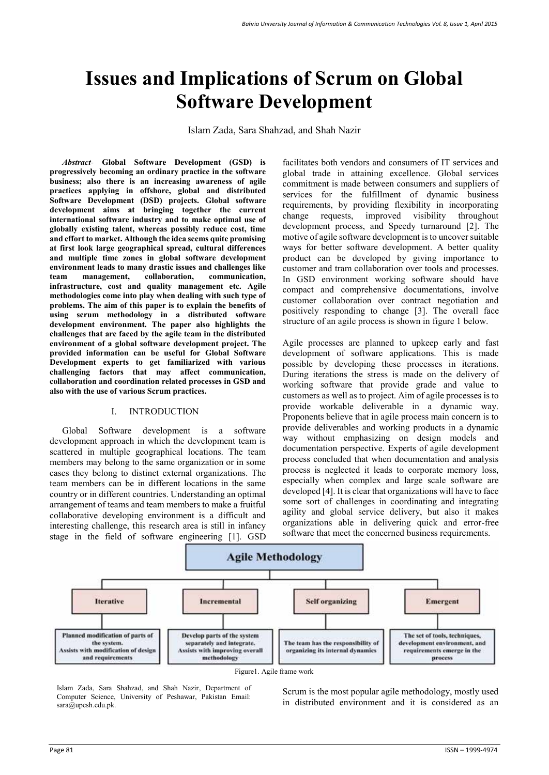# **Issues and Implications of Scrum on Global Software Development**

Islam Zada, Sara Shahzad, and Shah Nazir

*Abstract-* **Global Software Development (GSD) is progressively becoming an ordinary practice in the software business; also there is an increasing awareness of agile practices applying in offshore, global and distributed Software Development (DSD) projects. Global software development aims at bringing together the current international software industry and to make optimal use of globally existing talent, whereas possibly reduce cost, time and effort to market. Although the idea seems quite promising at first look large geographical spread, cultural differences and multiple time zones in global software development environment leads to many drastic issues and challenges like team management, collaboration, communication, infrastructure, cost and quality management etc. Agile methodologies come into play when dealing with such type of problems. The aim of this paper is to explain the benefits of using scrum methodology in a distributed software development environment. The paper also highlights the challenges that are faced by the agile team in the distributed environment of a global software development project. The provided information can be useful for Global Software Development experts to get familiarized with various challenging factors that may affect communication, collaboration and coordination related processes in GSD and also with the use of various Scrum practices.** 

#### I. INTRODUCTION

Global Software development is a software development approach in which the development team is scattered in multiple geographical locations. The team members may belong to the same organization or in some cases they belong to distinct external organizations. The team members can be in different locations in the same country or in different countries. Understanding an optimal arrangement of teams and team members to make a fruitful collaborative developing environment is a difficult and interesting challenge, this research area is still in infancy stage in the field of software engineering [1]. GSD

facilitates both vendors and consumers of IT services and global trade in attaining excellence. Global services commitment is made between consumers and suppliers of services for the fulfillment of dynamic business requirements, by providing flexibility in incorporating change requests, improved visibility throughout development process, and Speedy turnaround [2]. The motive of agile software development is to uncover suitable ways for better software development. A better quality product can be developed by giving importance to customer and tram collaboration over tools and processes. In GSD environment working software should have compact and comprehensive documentations, involve customer collaboration over contract negotiation and positively responding to change [3]. The overall face structure of an agile process is shown in figure 1 below.

Agile processes are planned to upkeep early and fast development of software applications. This is made possible by developing these processes in iterations. During iterations the stress is made on the delivery of working software that provide grade and value to customers as well as to project. Aim of agile processes is to provide workable deliverable in a dynamic way. Proponents believe that in agile process main concern is to provide deliverables and working products in a dynamic way without emphasizing on design models and documentation perspective. Experts of agile development process concluded that when documentation and analysis process is neglected it leads to corporate memory loss, especially when complex and large scale software are developed [4]. It is clear that organizations will have to face some sort of challenges in coordinating and integrating agility and global service delivery, but also it makes organizations able in delivering quick and error-free software that meet the concerned business requirements.



Islam Zada, Sara Shahzad, and Shah Nazir, Department of Computer Science, University of Peshawar, Pakistan Email: sara@upesh.edu.pk.

Scrum is the most popular agile methodology, mostly used in distributed environment and it is considered as an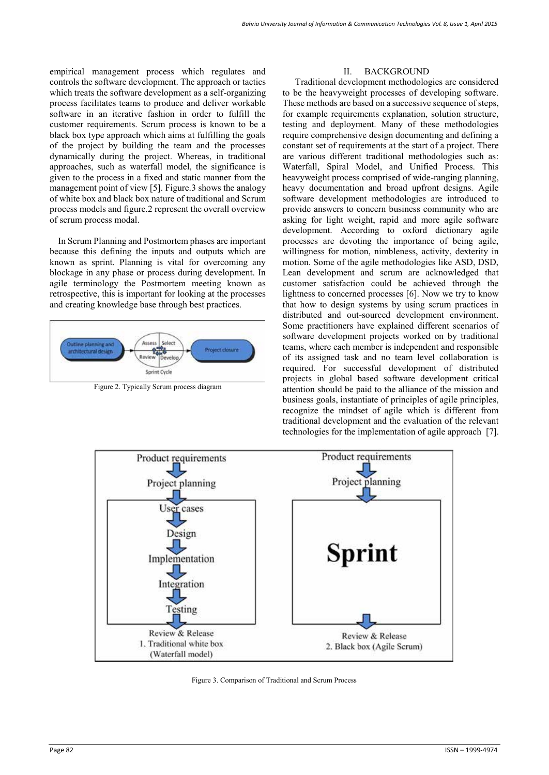empirical management process which regulates and controls the software development. The approach or tactics which treats the software development as a self-organizing process facilitates teams to produce and deliver workable software in an iterative fashion in order to fulfill the customer requirements. Scrum process is known to be a black box type approach which aims at fulfilling the goals of the project by building the team and the processes dynamically during the project. Whereas, in traditional approaches, such as waterfall model, the significance is given to the process in a fixed and static manner from the management point of view [5]. Figure.3 shows the analogy of white box and black box nature of traditional and Scrum process models and figure.2 represent the overall overview of scrum process modal.

In Scrum Planning and Postmortem phases are important because this defining the inputs and outputs which are known as sprint. Planning is vital for overcoming any blockage in any phase or process during development. In agile terminology the Postmortem meeting known as retrospective, this is important for looking at the processes and creating knowledge base through best practices.



Figure 2. Typically Scrum process diagram

#### II. BACKGROUND

Traditional development methodologies are considered to be the heavyweight processes of developing software. These methods are based on a successive sequence of steps, for example requirements explanation, solution structure, testing and deployment. Many of these methodologies require comprehensive design documenting and defining a constant set of requirements at the start of a project. There are various different traditional methodologies such as: Waterfall, Spiral Model, and Unified Process. This heavyweight process comprised of wide-ranging planning, heavy documentation and broad upfront designs. Agile software development methodologies are introduced to provide answers to concern business community who are asking for light weight, rapid and more agile software development. According to oxford dictionary agile processes are devoting the importance of being agile, willingness for motion, nimbleness, activity, dexterity in motion. Some of the agile methodologies like ASD, DSD, Lean development and scrum are acknowledged that customer satisfaction could be achieved through the lightness to concerned processes [6]. Now we try to know that how to design systems by using scrum practices in distributed and out-sourced development environment. Some practitioners have explained different scenarios of software development projects worked on by traditional teams, where each member is independent and responsible of its assigned task and no team level collaboration is required. For successful development of distributed projects in global based software development critical attention should be paid to the alliance of the mission and business goals, instantiate of principles of agile principles, recognize the mindset of agile which is different from traditional development and the evaluation of the relevant technologies for the implementation of agile approach [7].



Figure 3. Comparison of Traditional and Scrum Process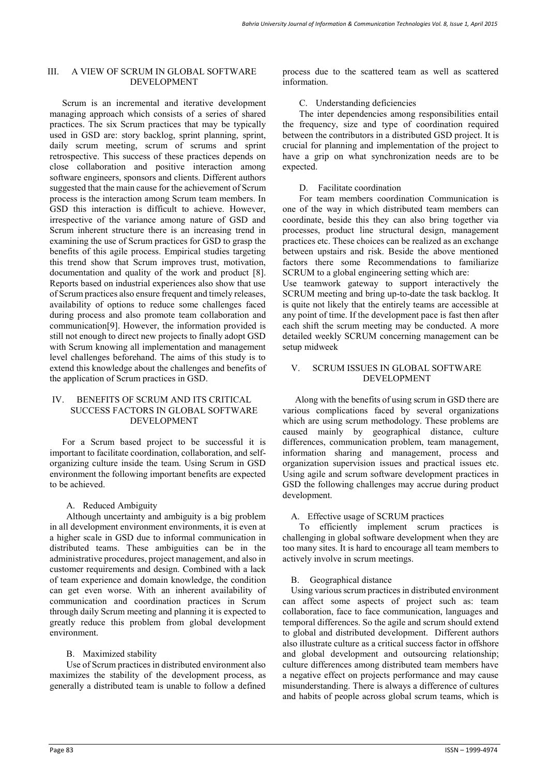#### III. A VIEW OF SCRUM IN GLOBAL SOFTWARE DEVELOPMENT

Scrum is an incremental and iterative development managing approach which consists of a series of shared practices. The six Scrum practices that may be typically used in GSD are: story backlog, sprint planning, sprint, daily scrum meeting, scrum of scrums and sprint retrospective. This success of these practices depends on close collaboration and positive interaction among software engineers, sponsors and clients. Different authors suggested that the main cause for the achievement of Scrum process is the interaction among Scrum team members. In GSD this interaction is difficult to achieve. However, irrespective of the variance among nature of GSD and Scrum inherent structure there is an increasing trend in examining the use of Scrum practices for GSD to grasp the benefits of this agile process. Empirical studies targeting this trend show that Scrum improves trust, motivation, documentation and quality of the work and product [8]. Reports based on industrial experiences also show that use of Scrum practices also ensure frequent and timely releases, availability of options to reduce some challenges faced during process and also promote team collaboration and communication[9]. However, the information provided is still not enough to direct new projects to finally adopt GSD with Scrum knowing all implementation and management level challenges beforehand. The aims of this study is to extend this knowledge about the challenges and benefits of the application of Scrum practices in GSD.

#### IV. BENEFITS OF SCRUM AND ITS CRITICAL SUCCESS FACTORS IN GLOBAL SOFTWARE DEVELOPMENT

For a Scrum based project to be successful it is important to facilitate coordination, collaboration, and selforganizing culture inside the team. Using Scrum in GSD environment the following important benefits are expected to be achieved.

## A. Reduced Ambiguity

Although uncertainty and ambiguity is a big problem in all development environment environments, it is even at a higher scale in GSD due to informal communication in distributed teams. These ambiguities can be in the administrative procedures, project management, and also in customer requirements and design. Combined with a lack of team experience and domain knowledge, the condition can get even worse. With an inherent availability of communication and coordination practices in Scrum through daily Scrum meeting and planning it is expected to greatly reduce this problem from global development environment.

#### B. Maximized stability

Use of Scrum practices in distributed environment also maximizes the stability of the development process, as generally a distributed team is unable to follow a defined process due to the scattered team as well as scattered information.

#### C. Understanding deficiencies

The inter dependencies among responsibilities entail the frequency, size and type of coordination required between the contributors in a distributed GSD project. It is crucial for planning and implementation of the project to have a grip on what synchronization needs are to be expected.

#### D. Facilitate coordination

For team members coordination Communication is one of the way in which distributed team members can coordinate, beside this they can also bring together via processes, product line structural design, management practices etc. These choices can be realized as an exchange between upstairs and risk. Beside the above mentioned factors there some Recommendations to familiarize SCRUM to a global engineering setting which are:

Use teamwork gateway to support interactively the SCRUM meeting and bring up-to-date the task backlog. It is quite not likely that the entirely teams are accessible at any point of time. If the development pace is fast then after each shift the scrum meeting may be conducted. A more detailed weekly SCRUM concerning management can be setup midweek

#### V. SCRUM ISSUES IN GLOBAL SOFTWARE DEVELOPMENT

Along with the benefits of using scrum in GSD there are various complications faced by several organizations which are using scrum methodology. These problems are caused mainly by geographical distance, culture differences, communication problem, team management, information sharing and management, process and organization supervision issues and practical issues etc. Using agile and scrum software development practices in GSD the following challenges may accrue during product development.

#### A. Effective usage of SCRUM practices

To efficiently implement scrum practices is challenging in global software development when they are too many sites. It is hard to encourage all team members to actively involve in scrum meetings.

## B. Geographical distance

Using various scrum practices in distributed environment can affect some aspects of project such as: team collaboration, face to face communication, languages and temporal differences. So the agile and scrum should extend to global and distributed development. Different authors also illustrate culture as a critical success factor in offshore and global development and outsourcing relationship; culture differences among distributed team members have a negative effect on projects performance and may cause misunderstanding. There is always a difference of cultures and habits of people across global scrum teams, which is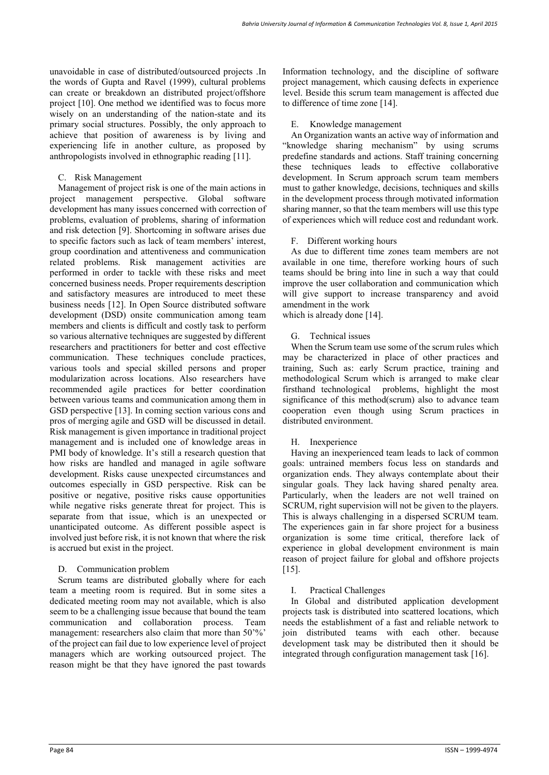unavoidable in case of distributed/outsourced projects .In the words of Gupta and Ravel (1999), cultural problems can create or breakdown an distributed project/offshore project [10]. One method we identified was to focus more wisely on an understanding of the nation-state and its primary social structures. Possibly, the only approach to achieve that position of awareness is by living and experiencing life in another culture, as proposed by anthropologists involved in ethnographic reading [11].

# C. Risk Management

Management of project risk is one of the main actions in project management perspective. Global software development has many issues concerned with correction of problems, evaluation of problems, sharing of information and risk detection [9]. Shortcoming in software arises due to specific factors such as lack of team members' interest, group coordination and attentiveness and communication related problems. Risk management activities are performed in order to tackle with these risks and meet concerned business needs. Proper requirements description and satisfactory measures are introduced to meet these business needs [12]. In Open Source distributed software development (DSD) onsite communication among team members and clients is difficult and costly task to perform so various alternative techniques are suggested by different researchers and practitioners for better and cost effective communication. These techniques conclude practices, various tools and special skilled persons and proper modularization across locations. Also researchers have recommended agile practices for better coordination between various teams and communication among them in GSD perspective [13]. In coming section various cons and pros of merging agile and GSD will be discussed in detail. Risk management is given importance in traditional project management and is included one of knowledge areas in PMI body of knowledge. It's still a research question that how risks are handled and managed in agile software development. Risks cause unexpected circumstances and outcomes especially in GSD perspective. Risk can be positive or negative, positive risks cause opportunities while negative risks generate threat for project. This is separate from that issue, which is an unexpected or unanticipated outcome. As different possible aspect is involved just before risk, it is not known that where the risk is accrued but exist in the project.

## D. Communication problem

Scrum teams are distributed globally where for each team a meeting room is required. But in some sites a dedicated meeting room may not available, which is also seem to be a challenging issue because that bound the team communication and collaboration process. Team management: researchers also claim that more than 50<sup>'%</sup>' of the project can fail due to low experience level of project managers which are working outsourced project. The reason might be that they have ignored the past towards Information technology, and the discipline of software project management, which causing defects in experience level. Beside this scrum team management is affected due to difference of time zone [14].

# E. Knowledge management

An Organization wants an active way of information and "knowledge sharing mechanism" by using scrums predefine standards and actions. Staff training concerning these techniques leads to effective collaborative development. In Scrum approach scrum team members must to gather knowledge, decisions, techniques and skills in the development process through motivated information sharing manner, so that the team members will use this type of experiences which will reduce cost and redundant work.

# F. Different working hours

As due to different time zones team members are not available in one time, therefore working hours of such teams should be bring into line in such a way that could improve the user collaboration and communication which will give support to increase transparency and avoid amendment in the work

which is already done [14].

# G. Technical issues

When the Scrum team use some of the scrum rules which may be characterized in place of other practices and training, Such as: early Scrum practice, training and methodological Scrum which is arranged to make clear firsthand technological problems, highlight the most significance of this method(scrum) also to advance team cooperation even though using Scrum practices in distributed environment.

# H. Inexperience

Having an inexperienced team leads to lack of common goals: untrained members focus less on standards and organization ends. They always contemplate about their singular goals. They lack having shared penalty area. Particularly, when the leaders are not well trained on SCRUM, right supervision will not be given to the players. This is always challenging in a dispersed SCRUM team. The experiences gain in far shore project for a business organization is some time critical, therefore lack of experience in global development environment is main reason of project failure for global and offshore projects [15].

# I. Practical Challenges

In Global and distributed application development projects task is distributed into scattered locations, which needs the establishment of a fast and reliable network to join distributed teams with each other. because development task may be distributed then it should be integrated through configuration management task [16].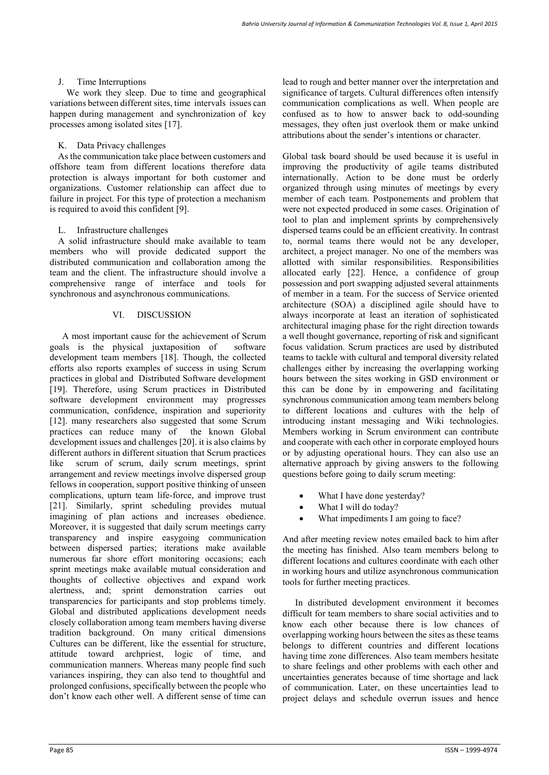# Time Interruptions

We work they sleep. Due to time and geographical variations between different sites, time intervals issues can happen during management and synchronization of key processes among isolated sites [17].

# K. Data Privacy challenges

As the communication take place between customers and offshore team from different locations therefore data protection is always important for both customer and organizations. Customer relationship can affect due to failure in project. For this type of protection a mechanism is required to avoid this confident [9].

## L. Infrastructure challenges

A solid infrastructure should make available to team members who will provide dedicated support the distributed communication and collaboration among the team and the client. The infrastructure should involve a comprehensive range of interface and tools for synchronous and asynchronous communications.

## VI. DISCUSSION

A most important cause for the achievement of Scrum<br>als is the physical juxtaposition of software goals is the physical juxtaposition of development team members [18]. Though, the collected efforts also reports examples of success in using Scrum practices in global and Distributed Software development [19]. Therefore, using Scrum practices in Distributed software development environment may progresses communication, confidence, inspiration and superiority [12]. many researchers also suggested that some Scrum practices can reduce many of the known Global development issues and challenges [20]. it is also claims by different authors in different situation that Scrum practices like scrum of scrum, daily scrum meetings, sprint arrangement and review meetings involve dispersed group fellows in cooperation, support positive thinking of unseen complications, upturn team life-force, and improve trust [21]. Similarly, sprint scheduling provides mutual imagining of plan actions and increases obedience. Moreover, it is suggested that daily scrum meetings carry transparency and inspire easygoing communication between dispersed parties; iterations make available numerous far shore effort monitoring occasions; each sprint meetings make available mutual consideration and thoughts of collective objectives and expand work alertness, and; sprint demonstration carries out transparencies for participants and stop problems timely. Global and distributed applications development needs closely collaboration among team members having diverse tradition background. On many critical dimensions Cultures can be different, like the essential for structure, attitude toward archpriest, logic of time, and communication manners. Whereas many people find such variances inspiring, they can also tend to thoughtful and prolonged confusions, specifically between the people who don't know each other well. A different sense of time can

lead to rough and better manner over the interpretation and significance of targets. Cultural differences often intensify communication complications as well. When people are confused as to how to answer back to odd-sounding messages, they often just overlook them or make unkind attributions about the sender's intentions or character.

Global task board should be used because it is useful in improving the productivity of agile teams distributed internationally. Action to be done must be orderly organized through using minutes of meetings by every member of each team. Postponements and problem that were not expected produced in some cases. Origination of tool to plan and implement sprints by comprehensively dispersed teams could be an efficient creativity. In contrast to, normal teams there would not be any developer, architect, a project manager. No one of the members was allotted with similar responsibilities. Responsibilities allocated early [22]. Hence, a confidence of group possession and port swapping adjusted several attainments of member in a team. For the success of Service oriented architecture (SOA) a disciplined agile should have to always incorporate at least an iteration of sophisticated architectural imaging phase for the right direction towards a well thought governance, reporting of risk and significant focus validation. Scrum practices are used by distributed teams to tackle with cultural and temporal diversity related challenges either by increasing the overlapping working hours between the sites working in GSD environment or this can be done by in empowering and facilitating synchronous communication among team members belong to different locations and cultures with the help of introducing instant messaging and Wiki technologies. Members working in Scrum environment can contribute and cooperate with each other in corporate employed hours or by adjusting operational hours. They can also use an alternative approach by giving answers to the following questions before going to daily scrum meeting:

- What I have done yesterday?
- What I will do today?
- What impediments I am going to face?

And after meeting review notes emailed back to him after the meeting has finished. Also team members belong to different locations and cultures coordinate with each other in working hours and utilize asynchronous communication tools for further meeting practices.

In distributed development environment it becomes difficult for team members to share social activities and to know each other because there is low chances of overlapping working hours between the sites as these teams belongs to different countries and different locations having time zone differences. Also team members hesitate to share feelings and other problems with each other and uncertainties generates because of time shortage and lack of communication. Later, on these uncertainties lead to project delays and schedule overrun issues and hence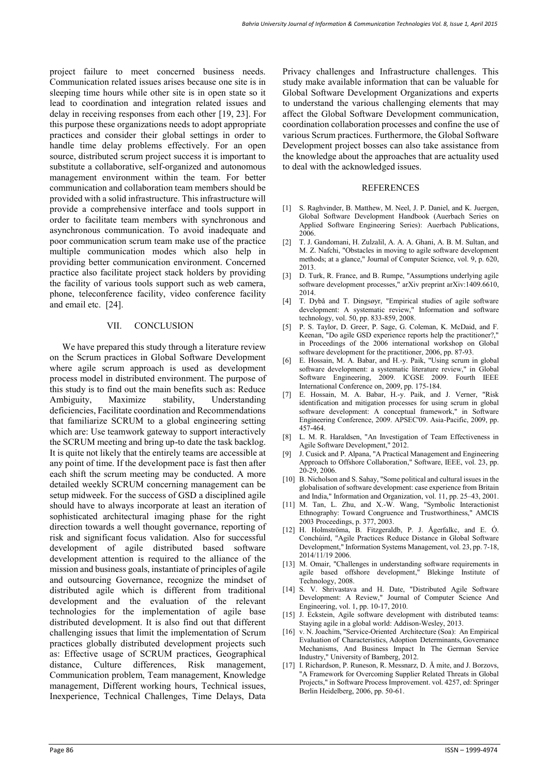project failure to meet concerned business needs. Communication related issues arises because one site is in sleeping time hours while other site is in open state so it lead to coordination and integration related issues and delay in receiving responses from each other [19, 23]. For this purpose these organizations needs to adopt appropriate practices and consider their global settings in order to handle time delay problems effectively. For an open source, distributed scrum project success it is important to substitute a collaborative, self-organized and autonomous management environment within the team. For better communication and collaboration team members should be provided with a solid infrastructure. This infrastructure will provide a comprehensive interface and tools support in order to facilitate team members with synchronous and asynchronous communication. To avoid inadequate and poor communication scrum team make use of the practice multiple communication modes which also help in providing better communication environment. Concerned practice also facilitate project stack holders by providing the facility of various tools support such as web camera, phone, teleconference facility, video conference facility and email etc. [24].

## VII. CONCLUSION

We have prepared this study through a literature review on the Scrum practices in Global Software Development where agile scrum approach is used as development process model in distributed environment. The purpose of this study is to find out the main benefits such as: Reduce Ambiguity, Maximize stability, Understanding deficiencies, Facilitate coordination and Recommendations that familiarize SCRUM to a global engineering setting which are: Use teamwork gateway to support interactively the SCRUM meeting and bring up-to date the task backlog. It is quite not likely that the entirely teams are accessible at any point of time. If the development pace is fast then after each shift the scrum meeting may be conducted. A more detailed weekly SCRUM concerning management can be setup midweek. For the success of GSD a disciplined agile should have to always incorporate at least an iteration of sophisticated architectural imaging phase for the right direction towards a well thought governance, reporting of risk and significant focus validation. Also for successful development of agile distributed based software development attention is required to the alliance of the mission and business goals, instantiate of principles of agile and outsourcing Governance, recognize the mindset of distributed agile which is different from traditional development and the evaluation of the relevant technologies for the implementation of agile base distributed development. It is also find out that different challenging issues that limit the implementation of Scrum practices globally distributed development projects such as: Effective usage of SCRUM practices, Geographical distance, Culture differences, Risk management, Communication problem, Team management, Knowledge management, Different working hours, Technical issues, Inexperience, Technical Challenges, Time Delays, Data

Privacy challenges and Infrastructure challenges. This study make available information that can be valuable for Global Software Development Organizations and experts to understand the various challenging elements that may affect the Global Software Development communication, coordination collaboration processes and confine the use of various Scrum practices. Furthermore, the Global Software Development project bosses can also take assistance from the knowledge about the approaches that are actuality used to deal with the acknowledged issues.

#### REFERENCES

- [1] S. Raghvinder, B. Matthew, M. Neel, J. P. Daniel, and K. Juergen, Global Software Development Handbook (Auerbach Series on Applied Software Engineering Series): Auerbach Publications, 2006.
- [2] T. J. Gandomani, H. Zulzalil, A. A. A. Ghani, A. B. M. Sultan, and M. Z. Nafchi, "Obstacles in moving to agile software development methods; at a glance," Journal of Computer Science, vol. 9, p. 620, 2013.
- [3] D. Turk, R. France, and B. Rumpe, "Assumptions underlying agile software development processes," arXiv preprint arXiv:1409.6610, 2014.
- [4] T. Dybå and T. Dingsøyr, "Empirical studies of agile software development: A systematic review," Information and software technology, vol. 50, pp. 833-859, 2008.
- [5] P. S. Taylor, D. Greer, P. Sage, G. Coleman, K. McDaid, and F. Keenan, "Do agile GSD experience reports help the practitioner?," in Proceedings of the 2006 international workshop on Global software development for the practitioner, 2006, pp. 87-93.
- [6] E. Hossain, M. A. Babar, and H.-y. Paik, "Using scrum in global software development: a systematic literature review," in Global Software Engineering, 2009. ICGSE 2009. Fourth IEEE International Conference on, 2009, pp. 175-184.
- [7] E. Hossain, M. A. Babar, H.-y. Paik, and J. Verner, "Risk identification and mitigation processes for using scrum in global software development: A conceptual framework," in Software Engineering Conference, 2009. APSEC'09. Asia-Pacific, 2009, pp. 457-464.
- [8] L. M. R. Haraldsen, "An Investigation of Team Effectiveness in Agile Software Development," 2012.
- [9] J. Cusick and P. Alpana, "A Practical Management and Engineering Approach to Offshore Collaboration," Software, IEEE, vol. 23, pp. 20-29, 2006.
- [10] B. Nicholson and S. Sahay, "Some political and cultural issues in the globalisation of software development: case experience from Britain and India," Information and Organization, vol. 11, pp. 25–43, 2001.
- [11] M. Tan, L. Zhu, and X.-W. Wang, "Symbolic Interactionist Ethnography: Toward Congruence and Trustworthiness," AMCIS 2003 Proceedings, p. 377, 2003.
- [12] H. Holmströma, B. Fitzgeraldb, P. J. Ågerfalkc, and E. Ó. Conchúird, "Agile Practices Reduce Distance in Global Software Development," Information Systems Management, vol. 23, pp. 7-18, 2014/11/19 2006.
- [13] M. Omair, "Challenges in understanding software requirements in agile based offshore development," Blekinge Institute of Technology, 2008.
- [14] S. V. Shrivastava and H. Date, "Distributed Agile Software Development: A Review," Journal of Computer Science And Engineering, vol. 1, pp. 10-17, 2010.
- [15] J. Eckstein, Agile software development with distributed teams: Staying agile in a global world: Addison-Wesley, 2013.
- [16] v. N. Joachim, "Service-Oriented Architecture (Soa): An Empirical Evaluation of Characteristics, Adoption Determinants, Governance Mechanisms, And Business Impact In The German Service Industry," University of Bamberg, 2012.
- [17] I. Richardson, P. Runeson, R. Messnarz, D. Å mite, and J. Borzovs, "A Framework for Overcoming Supplier Related Threats in Global Projects," in Software Process Improvement. vol. 4257, ed: Springer Berlin Heidelberg, 2006, pp. 50-61.